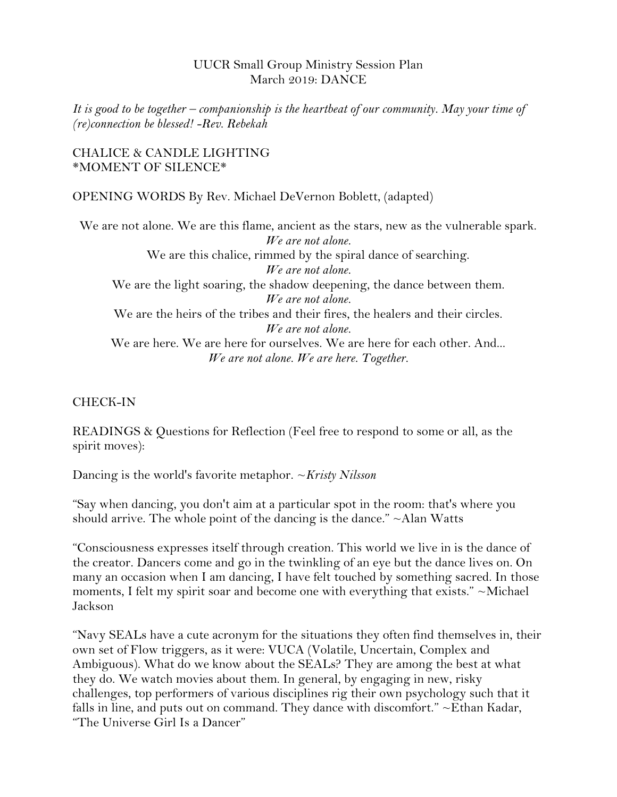### UUCR Small Group Ministry Session Plan March 2019: DANCE

*It is good to be together – companionship is the heartbeat of our community. May your time of (re)connection be blessed! -Rev. Rebekah*

#### CHALICE & CANDLE LIGHTING \*MOMENT OF SILENCE\*

OPENING WORDS By Rev. Michael DeVernon Boblett, (adapted)

We are not alone. We are this flame, ancient as the stars, new as the vulnerable spark. *We are not alone.* We are this chalice, rimmed by the spiral dance of searching. *We are not alone.* We are the light soaring, the shadow deepening, the dance between them. *We are not alone.* We are the heirs of the tribes and their fires, the healers and their circles. *We are not alone.* We are here. We are here for ourselves. We are here for each other. And... *We are not alone. We are here. Together.*

## CHECK-IN

READINGS & Questions for Reflection (Feel free to respond to some or all, as the spirit moves):

Dancing is the world's favorite metaphor. ~*Kristy Nilsson*

"Say when dancing, you don't aim at a particular spot in the room: that's where you should arrive. The whole point of the dancing is the dance."  $\sim$ Alan Watts

"Consciousness expresses itself through creation. This world we live in is the dance of the creator. Dancers come and go in the twinkling of an eye but the dance lives on. On many an occasion when I am dancing, I have felt touched by something sacred. In those moments, I felt my spirit soar and become one with everything that exists." ~Michael Jackson

"Navy SEALs have a cute acronym for the situations they often find themselves in, their own set of Flow triggers, as it were: VUCA (Volatile, Uncertain, Complex and Ambiguous). What do we know about the SEALs? They are among the best at what they do. We watch movies about them. In general, by engaging in new, risky challenges, top performers of various disciplines rig their own psychology such that it falls in line, and puts out on command. They dance with discomfort."  $\sim$ Ethan Kadar, "The Universe Girl Is a Dancer"